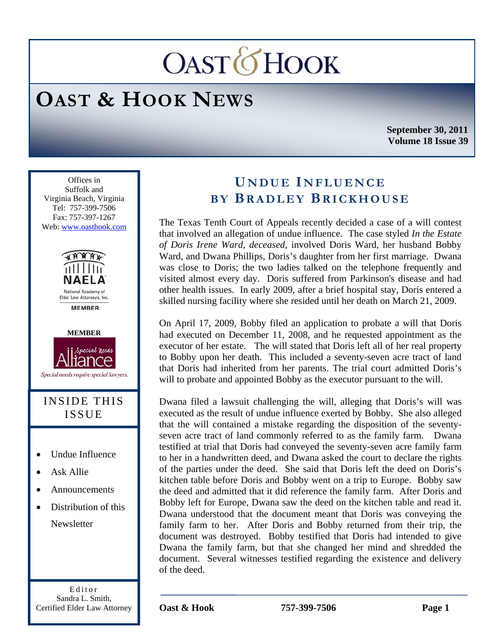# **OASTOHOOK**

## **OAST & HOOK NEWS**

**September 30, 2011 Volume 18 Issue 39** 

Ī Offices in Suffolk and Virginia Beach, Virginia Tel: 757-399-7506 Fax: 757-397-1267 Web: www.oasthook.com



**MEMBER** 



#### INSIDE THIS ISSUE

- Undue Influence
- Ask Allie
- Announcements
- Distribution of this **Newsletter**

Editor Sandra L. Smith, Certified Elder Law Attorney

### **U NDUE I NFLUENCE BY BRADLEY BRICKHOUSE**

The Texas Tenth Court of Appeals recently decided a case of a will contest that involved an allegation of undue influence. The case styled *In the Estate of Doris Irene Ward, deceased*, involved Doris Ward, her husband Bobby Ward, and Dwana Phillips, Doris's daughter from her first marriage. Dwana was close to Doris; the two ladies talked on the telephone frequently and visited almost every day. Doris suffered from Parkinson's disease and had other health issues. In early 2009, after a brief hospital stay, Doris entered a skilled nursing facility where she resided until her death on March 21, 2009.

On April 17, 2009, Bobby filed an application to probate a will that Doris had executed on December 11, 2008, and he requested appointment as the executor of her estate. The will stated that Doris left all of her real property to Bobby upon her death. This included a seventy-seven acre tract of land that Doris had inherited from her parents. The trial court admitted Doris's will to probate and appointed Bobby as the executor pursuant to the will.

Dwana filed a lawsuit challenging the will, alleging that Doris's will was executed as the result of undue influence exerted by Bobby. She also alleged that the will contained a mistake regarding the disposition of the seventyseven acre tract of land commonly referred to as the family farm. Dwana testified at trial that Doris had conveyed the seventy-seven acre family farm to her in a handwritten deed, and Dwana asked the court to declare the rights of the parties under the deed. She said that Doris left the deed on Doris's kitchen table before Doris and Bobby went on a trip to Europe. Bobby saw the deed and admitted that it did reference the family farm. After Doris and Bobby left for Europe, Dwana saw the deed on the kitchen table and read it. Dwana understood that the document meant that Doris was conveying the family farm to her. After Doris and Bobby returned from their trip, the document was destroyed. Bobby testified that Doris had intended to give Dwana the family farm, but that she changed her mind and shredded the document. Several witnesses testified regarding the existence and delivery of the deed.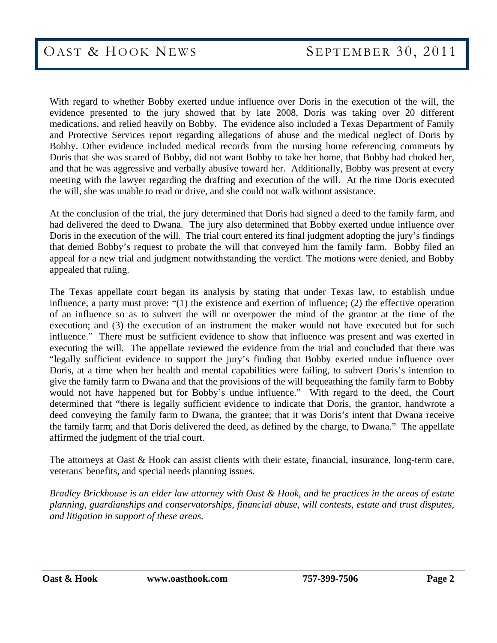With regard to whether Bobby exerted undue influence over Doris in the execution of the will, the evidence presented to the jury showed that by late 2008, Doris was taking over 20 different medications, and relied heavily on Bobby. The evidence also included a Texas Department of Family and Protective Services report regarding allegations of abuse and the medical neglect of Doris by Bobby. Other evidence included medical records from the nursing home referencing comments by Doris that she was scared of Bobby, did not want Bobby to take her home, that Bobby had choked her, and that he was aggressive and verbally abusive toward her. Additionally, Bobby was present at every meeting with the lawyer regarding the drafting and execution of the will. At the time Doris executed the will, she was unable to read or drive, and she could not walk without assistance.

At the conclusion of the trial, the jury determined that Doris had signed a deed to the family farm, and had delivered the deed to Dwana. The jury also determined that Bobby exerted undue influence over Doris in the execution of the will. The trial court entered its final judgment adopting the jury's findings that denied Bobby's request to probate the will that conveyed him the family farm. Bobby filed an appeal for a new trial and judgment notwithstanding the verdict. The motions were denied, and Bobby appealed that ruling.

The Texas appellate court began its analysis by stating that under Texas law, to establish undue influence, a party must prove: "(1) the existence and exertion of influence; (2) the effective operation of an influence so as to subvert the will or overpower the mind of the grantor at the time of the execution; and (3) the execution of an instrument the maker would not have executed but for such influence." There must be sufficient evidence to show that influence was present and was exerted in executing the will. The appellate reviewed the evidence from the trial and concluded that there was "legally sufficient evidence to support the jury's finding that Bobby exerted undue influence over Doris, at a time when her health and mental capabilities were failing, to subvert Doris's intention to give the family farm to Dwana and that the provisions of the will bequeathing the family farm to Bobby would not have happened but for Bobby's undue influence." With regard to the deed, the Court determined that "there is legally sufficient evidence to indicate that Doris, the grantor, handwrote a deed conveying the family farm to Dwana, the grantee; that it was Doris's intent that Dwana receive the family farm; and that Doris delivered the deed, as defined by the charge, to Dwana." The appellate affirmed the judgment of the trial court.

The attorneys at Oast & Hook can assist clients with their estate, financial, insurance, long-term care, veterans' benefits, and special needs planning issues.

*Bradley Brickhouse is an elder law attorney with Oast & Hook, and he practices in the areas of estate planning, guardianships and conservatorships, financial abuse, will contests, estate and trust disputes, and litigation in support of these areas.*